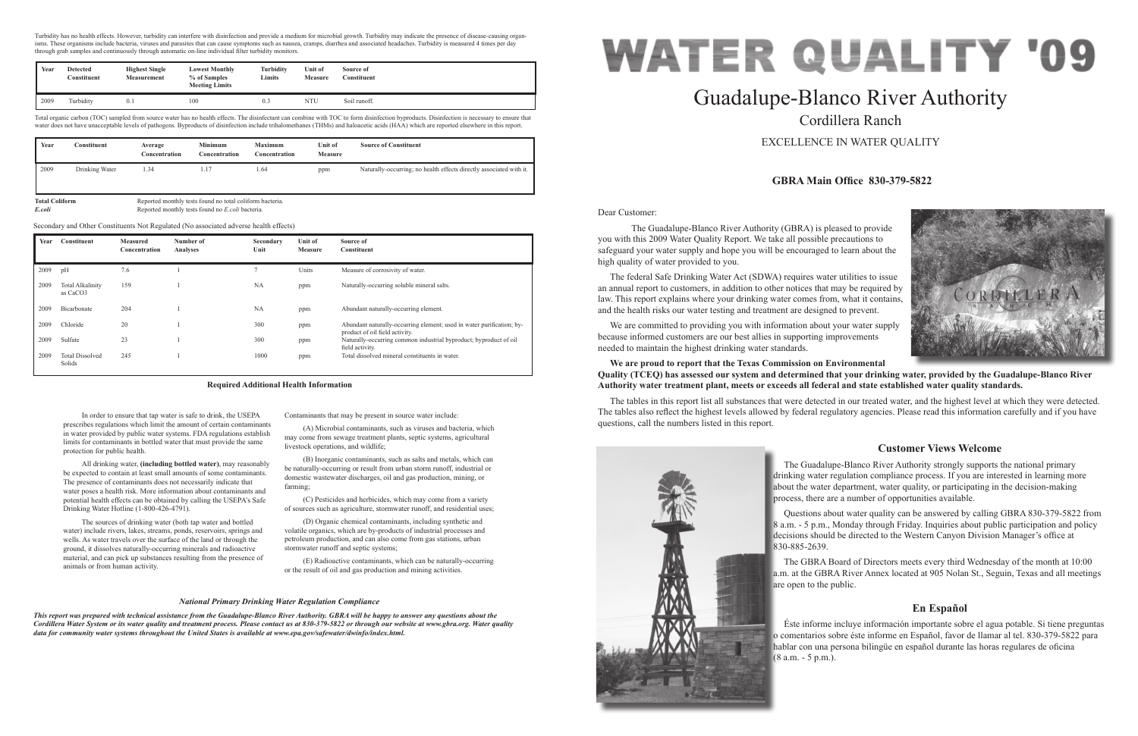Dear Customer:

 The Guadalupe-Blanco River Authority (GBRA) is pleased to provide you with this 2009 Water Quality Report. We take all possible precautions to safeguard your water supply and hope you will be encouraged to learn about the high quality of water provided to you.

The federal Safe Drinking Water Act (SDWA) requires water utilities to issue an annual report to customers, in addition to other notices that may be required by law. This report explains where your drinking water comes from, what it contains, and the health risks our water testing and treatment are designed to prevent.

We are committed to providing you with information about your water supply because informed customers are our best allies in supporting improvements needed to maintain the highest drinking water standards.

## **We are proud to report that the Texas Commission on Environmental Quality (TCEQ) has assessed our system and determined that your drinking water, provided by the Guadalupe-Blanco River Authority water treatment plant, meets or exceeds all federal and state established water quality standards.**

The tables in this report list all substances that were detected in our treated water, and the highest level at which they were detected. The tables also reflect the highest levels allowed by federal regulatory agencies. Please read this information carefully and if you have questions, call the numbers listed in this report.



# Guadalupe-Blanco River Authority Cordillera Ranch

## EXCELLENCE IN WATER QUALITY

# **GBRA Main Office 830-379-5822**

# **Customer Views Welcome**

The Guadalupe-Blanco River Authority strongly supports the national primary drinking water regulation compliance process. If you are interested in learning more about the water department, water quality, or participating in the decision-making process, there are a number of opportunities available.

Questions about water quality can be answered by calling GBRA 830-379-5822 from 8 a.m. - 5 p.m., Monday through Friday. Inquiries about public participation and policy decisions should be directed to the Western Canyon Division Manager's office at 830-885-2639.

The GBRA Board of Directors meets every third Wednesday of the month at 10:00 a.m. at the GBRA River Annex located at 905 Nolan St., Seguin, Texas and all meetings are open to the public.

# **En Español**

Éste informe incluye información importante sobre el agua potable. Si tiene preguntas o comentarios sobre éste informe en Español, favor de llamar al tel. 830-379-5822 para hablar con una persona bilingüe en español durante las horas regulares de oficina (8 a.m. - 5 p.m.).



In order to ensure that tap water is safe to drink, the USEPA prescribes regulations which limit the amount of certain contaminants in water provided by public water systems. FDA regulations establish limits for contaminants in bottled water that must provide the same protection for public health.

Turbidity has no health effects. However, turbidity can interfere with disinfection and provide a medium for microbial growth. Turbidity may indicate the presence of disease-causing organisms. These organisms include bacteria, viruses and parasites that can cause symptoms such as nausea, cramps, diarrhea and associated headaches. Turbidity is measured 4 times per day through grab samples and continuously through automatic on-line individual filter turbidity monitors.

All drinking water, **(including bottled water)**, may reasonably be expected to contain at least small amounts of some contaminants. The presence of contaminants does not necessarily indicate that water poses a health risk. More information about contaminants and potential health effects can be obtained by calling the USEPA's Safe Drinking Water Hotline (1-800-426-4791).

The sources of drinking water (both tap water and bottled water) include rivers, lakes, streams, ponds, reservoirs, springs and wells. As water travels over the surface of the land or through the ground, it dissolves naturally-occurring minerals and radioactive material, and can pick up substances resulting from the presence of animals or from human activity.

Contaminants that may be present in source water include:

(A) Microbial contaminants, such as viruses and bacteria, which may come from sewage treatment plants, septic systems, agricultural livestock operations, and wildlife;

(B) Inorganic contaminants, such as salts and metals, which can be naturally-occurring or result from urban storm runoff, industrial or domestic wastewater discharges, oil and gas production, mining, or farming;

(C) Pesticides and herbicides, which may come from a variety of sources such as agriculture, stormwater runoff, and residential uses;

(D) Organic chemical contaminants, including synthetic and volatile organics, which are by-products of industrial processes and petroleum production, and can also come from gas stations, urban stormwater runoff and septic systems;

(E) Radioactive contaminants, which can be naturally-occurring or the result of oil and gas production and mining activities.

#### **Required Additional Health Information**

#### *National Primary Drinking Water Regulation Compliance*

*This report was prepared with technical assistance from the Guadalupe-Blanco River Authority. GBRA will be happy to answer any questions about the Cordillera Water System or its water quality and treatment process. Please contact us at 830-379-5822 or through our website at www.gbra.org. Water quality data for community water systems throughout the United States is available at www.epa.gov/safewater/dwinfo/index.html.*

|      | Year<br><b>Detected</b><br>Constituent | <b>Highest Single</b><br><b>Measurement</b> | <b>Lowest Monthly</b><br>% of Samples<br><b>Meeting Limits</b> | Turbidity<br><b>Limits</b> | Unit of<br><b>Measure</b> | Source of<br>Constituent |
|------|----------------------------------------|---------------------------------------------|----------------------------------------------------------------|----------------------------|---------------------------|--------------------------|
| 2009 | Turbidity                              | 0.1                                         | 100                                                            | 0.3                        | NTU                       | Soil runoff.             |

Total organic carbon (TOC) sampled from source water has no health effects. The disinfectant can combine with TOC to form disinfection byproducts. Disinfection is necessary to ensure that water does not have unacceptable levels of pathogens. Byproducts of disinfection include trihalomethanes (THMs) and haloacetic acids (HAA) which are reported elsewhere in this report.

| Year | Constituent    | Average<br>Concentration | <b>Minimum</b><br>Concentration | <b>Maximum</b><br>Concentration | Unit of<br><b>Measure</b> | <b>Source of Constituent</b>                                        |
|------|----------------|--------------------------|---------------------------------|---------------------------------|---------------------------|---------------------------------------------------------------------|
| 2009 | Drinking Water | 1.34                     | 1.17                            | 1.64                            | ppm                       | Naturally-occurring; no health effects directly associated with it. |

**Total Coliform Reported monthly tests found no total coliform bacteria.** *E.coli* Reported monthly tests found no *E.coli* bacteria.

| Year | Constituent                                     | <b>Measured</b><br>Concentration | Number of<br>Analyses | Secondary<br>Unit | Unit of<br><b>Measure</b> | Source of<br><b>Constituent</b>                                                                         |
|------|-------------------------------------------------|----------------------------------|-----------------------|-------------------|---------------------------|---------------------------------------------------------------------------------------------------------|
| 2009 | pH                                              | 7.6                              |                       |                   | Units                     | Measure of corrosivity of water.                                                                        |
| 2009 | <b>Total Alkalinity</b><br>as CaCO <sub>3</sub> | 159                              |                       | <b>NA</b>         | ppm                       | Naturally-occurring soluble mineral salts.                                                              |
| 2009 | Bicarbonate                                     | 204                              |                       | <b>NA</b>         | ppm                       | Abundant naturally-occurring element.                                                                   |
| 2009 | Chloride                                        | 20                               |                       | 300               | ppm                       | Abundant naturally-occurring element; used in water purification; by-<br>product of oil field activity. |
| 2009 | Sulfate                                         | 23                               |                       | 300               | ppm                       | Naturally-occurring common industrial byproduct; byproduct of oil<br>field activity.                    |
| 2009 | <b>Total Dissolved</b><br>Solids                | 245                              |                       | 1000              | ppm                       | Total dissolved mineral constituents in water.                                                          |

Secondary and Other Constituents Not Regulated (No associated adverse health effects)